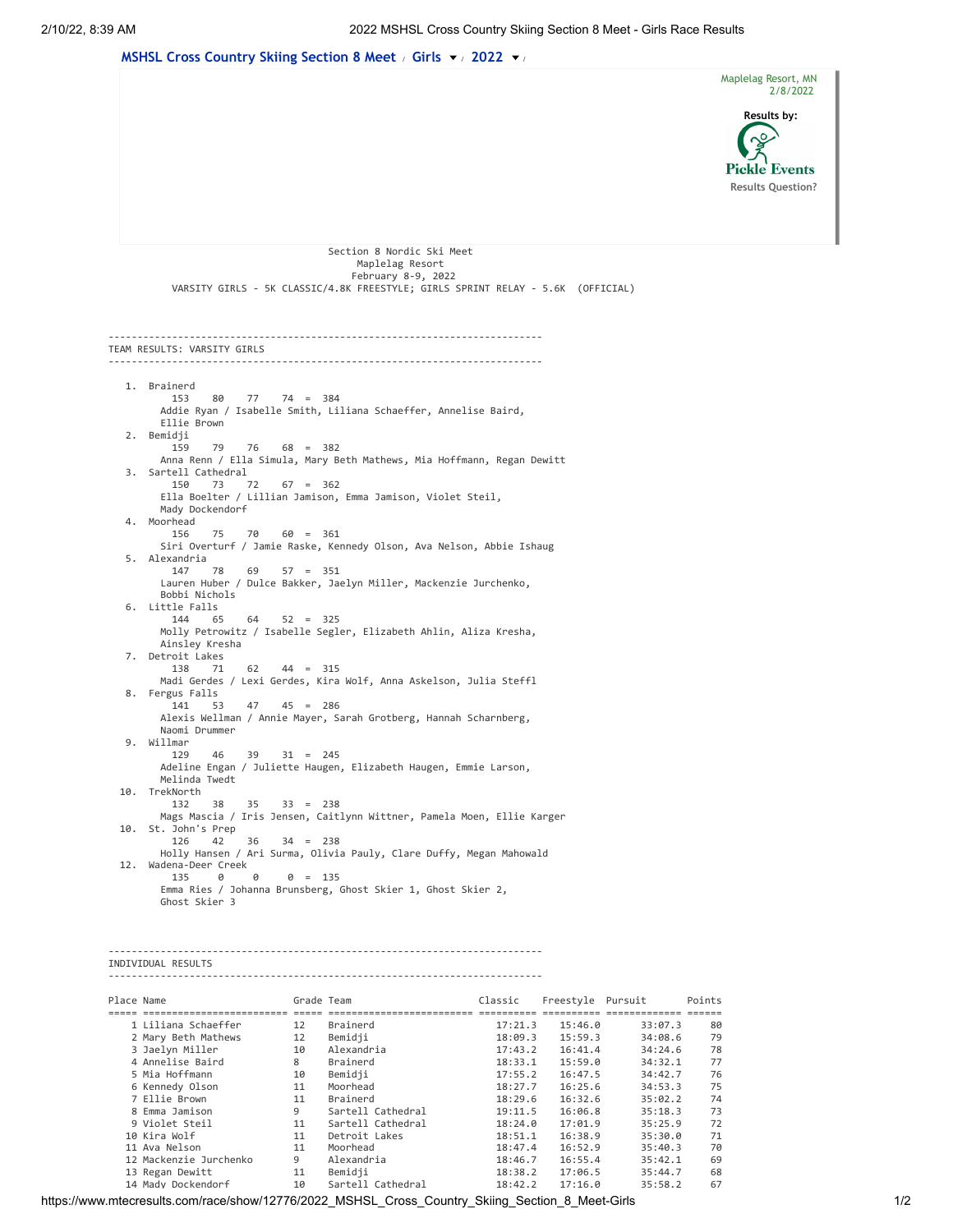